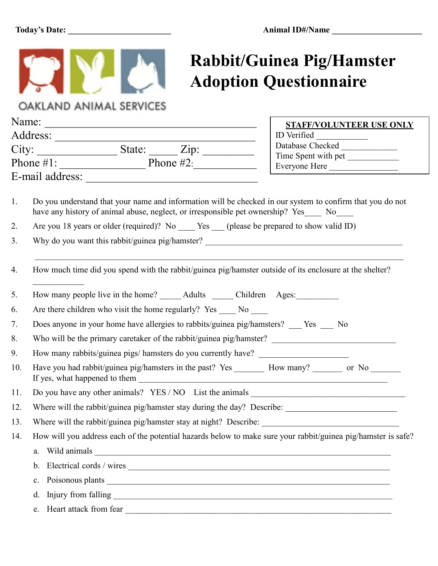

## **Rabbit/Guinea Pig/Hamster Adoption Questionnaire**

<u> 1989 - Johann Barn, mars eta bainar e</u>

OAKLAND ANIMAL SERVICES

| Name: |                                                                                                                                                                                                        | <b>STAFF/VOLUNTEER USE ONLY</b><br>ID Verified |  |                       |
|-------|--------------------------------------------------------------------------------------------------------------------------------------------------------------------------------------------------------|------------------------------------------------|--|-----------------------|
|       |                                                                                                                                                                                                        |                                                |  | $City:$ State: $Zip:$ |
|       | Phone $\#1$ : Phone $\#2$ :                                                                                                                                                                            | Time Spent with pet                            |  |                       |
|       |                                                                                                                                                                                                        | Everyone Here                                  |  |                       |
|       |                                                                                                                                                                                                        |                                                |  |                       |
| 1.    | Do you understand that your name and information will be checked in our system to confirm that you do not<br>have any history of animal abuse, neglect, or irresponsible pet ownership? Yes____ No____ |                                                |  |                       |
| 2.    | Are you 18 years or older (required)? No ______ Yes _____ (please be prepared to show valid ID)                                                                                                        |                                                |  |                       |
| 3.    |                                                                                                                                                                                                        |                                                |  |                       |
|       |                                                                                                                                                                                                        |                                                |  |                       |
| 4.    | How much time did you spend with the rabbit/guinea pig/hamster outside of its enclosure at the shelter?                                                                                                |                                                |  |                       |
|       |                                                                                                                                                                                                        |                                                |  |                       |
| 5.    | How many people live in the home? _______ Adults _______ Children Ages: _________                                                                                                                      |                                                |  |                       |
| 6.    | Are there children who visit the home regularly? Yes _____ No _____                                                                                                                                    |                                                |  |                       |
| 7.    | Does anyone in your home have allergies to rabbits/guinea pig/hamsters? ___ Yes __ No                                                                                                                  |                                                |  |                       |
| 8.    |                                                                                                                                                                                                        |                                                |  |                       |
| 9.    | How many rabbits/guinea pigs/ hamsters do you currently have? ___________________                                                                                                                      |                                                |  |                       |
| 10.   | Have you had rabbit/guinea pig/hamsters in the past? Yes ________ How many? ________ or No _______                                                                                                     |                                                |  |                       |
| 11.   | Do you have any other animals? YES / NO List the animals ________________________                                                                                                                      |                                                |  |                       |
| 12.   | Where will the rabbit/guinea pig/hamster stay during the day? Describe: ____________________________                                                                                                   |                                                |  |                       |
| 13.   |                                                                                                                                                                                                        |                                                |  |                       |
| 14.   | How will you address each of the potential hazards below to make sure your rabbit/guinea pig/hamster is safe?                                                                                          |                                                |  |                       |
|       | a.                                                                                                                                                                                                     |                                                |  |                       |
|       | b.                                                                                                                                                                                                     |                                                |  |                       |
|       | Poisonous plants<br>c.                                                                                                                                                                                 |                                                |  |                       |
|       | d.                                                                                                                                                                                                     |                                                |  |                       |
|       | e.                                                                                                                                                                                                     |                                                |  |                       |